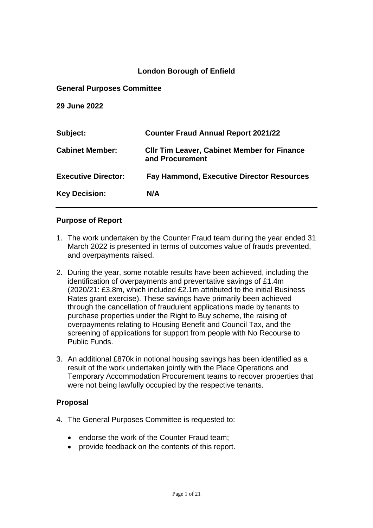#### **London Borough of Enfield**

#### **General Purposes Committee**

**29 June 2022**

| Subject:                   | <b>Counter Fraud Annual Report 2021/22</b>                            |
|----------------------------|-----------------------------------------------------------------------|
| <b>Cabinet Member:</b>     | <b>CIIr Tim Leaver, Cabinet Member for Finance</b><br>and Procurement |
| <b>Executive Director:</b> | <b>Fay Hammond, Executive Director Resources</b>                      |
| <b>Key Decision:</b>       | N/A                                                                   |

#### **Purpose of Report**

- 1. The work undertaken by the Counter Fraud team during the year ended 31 March 2022 is presented in terms of outcomes value of frauds prevented, and overpayments raised.
- 2. During the year, some notable results have been achieved, including the identification of overpayments and preventative savings of £1.4m (2020/21: £3.8m, which included £2.1m attributed to the initial Business Rates grant exercise). These savings have primarily been achieved through the cancellation of fraudulent applications made by tenants to purchase properties under the Right to Buy scheme, the raising of overpayments relating to Housing Benefit and Council Tax, and the screening of applications for support from people with No Recourse to Public Funds.
- 3. An additional £870k in notional housing savings has been identified as a result of the work undertaken jointly with the Place Operations and Temporary Accommodation Procurement teams to recover properties that were not being lawfully occupied by the respective tenants.

#### **Proposal**

- 4. The General Purposes Committee is requested to:
	- endorse the work of the Counter Fraud team;
	- provide feedback on the contents of this report.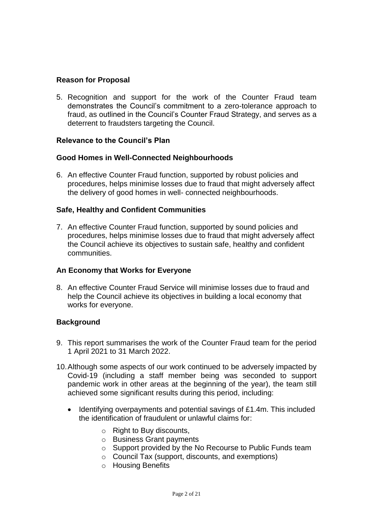#### **Reason for Proposal**

5. Recognition and support for the work of the Counter Fraud team demonstrates the Council's commitment to a zero-tolerance approach to fraud, as outlined in the Council's Counter Fraud Strategy, and serves as a deterrent to fraudsters targeting the Council.

#### **Relevance to the Council's Plan**

#### **Good Homes in Well-Connected Neighbourhoods**

6. An effective Counter Fraud function, supported by robust policies and procedures, helps minimise losses due to fraud that might adversely affect the delivery of good homes in well- connected neighbourhoods.

#### **Safe, Healthy and Confident Communities**

7. An effective Counter Fraud function, supported by sound policies and procedures, helps minimise losses due to fraud that might adversely affect the Council achieve its objectives to sustain safe, healthy and confident communities.

#### **An Economy that Works for Everyone**

8. An effective Counter Fraud Service will minimise losses due to fraud and help the Council achieve its objectives in building a local economy that works for everyone.

#### **Background**

- 9. This report summarises the work of the Counter Fraud team for the period 1 April 2021 to 31 March 2022.
- 10.Although some aspects of our work continued to be adversely impacted by Covid-19 (including a staff member being was seconded to support pandemic work in other areas at the beginning of the year), the team still achieved some significant results during this period, including:
	- Identifying overpayments and potential savings of £1.4m. This included the identification of fraudulent or unlawful claims for:
		- o Right to Buy discounts,
		- o Business Grant payments
		- o Support provided by the No Recourse to Public Funds team
		- o Council Tax (support, discounts, and exemptions)
		- o Housing Benefits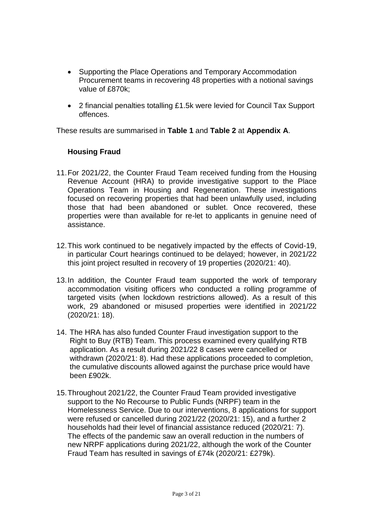- Supporting the Place Operations and Temporary Accommodation Procurement teams in recovering 48 properties with a notional savings value of £870k;
- 2 financial penalties totalling £1.5k were levied for Council Tax Support offences.

These results are summarised in **Table 1** and **Table 2** at **Appendix A**.

#### **Housing Fraud**

- 11.For 2021/22, the Counter Fraud Team received funding from the Housing Revenue Account (HRA) to provide investigative support to the Place Operations Team in Housing and Regeneration. These investigations focused on recovering properties that had been unlawfully used, including those that had been abandoned or sublet. Once recovered, these properties were than available for re-let to applicants in genuine need of assistance.
- 12.This work continued to be negatively impacted by the effects of Covid-19, in particular Court hearings continued to be delayed; however, in 2021/22 this joint project resulted in recovery of 19 properties (2020/21: 40).
- 13.In addition, the Counter Fraud team supported the work of temporary accommodation visiting officers who conducted a rolling programme of targeted visits (when lockdown restrictions allowed). As a result of this work, 29 abandoned or misused properties were identified in 2021/22 (2020/21: 18).
- 14. The HRA has also funded Counter Fraud investigation support to the Right to Buy (RTB) Team. This process examined every qualifying RTB application. As a result during 2021/22 8 cases were cancelled or withdrawn (2020/21: 8). Had these applications proceeded to completion, the cumulative discounts allowed against the purchase price would have been £902k.
- 15.Throughout 2021/22, the Counter Fraud Team provided investigative support to the No Recourse to Public Funds (NRPF) team in the Homelessness Service. Due to our interventions, 8 applications for support were refused or cancelled during 2021/22 (2020/21: 15), and a further 2 households had their level of financial assistance reduced (2020/21: 7). The effects of the pandemic saw an overall reduction in the numbers of new NRPF applications during 2021/22, although the work of the Counter Fraud Team has resulted in savings of £74k (2020/21: £279k).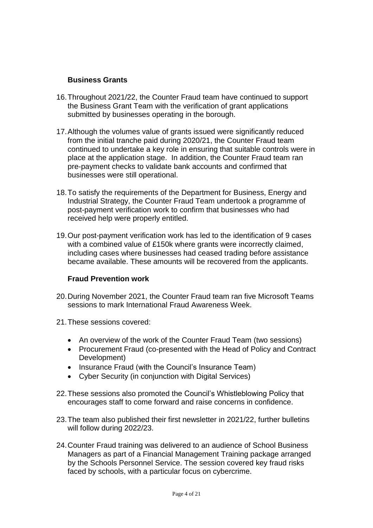#### **Business Grants**

- 16.Throughout 2021/22, the Counter Fraud team have continued to support the Business Grant Team with the verification of grant applications submitted by businesses operating in the borough.
- 17.Although the volumes value of grants issued were significantly reduced from the initial tranche paid during 2020/21, the Counter Fraud team continued to undertake a key role in ensuring that suitable controls were in place at the application stage. In addition, the Counter Fraud team ran pre-payment checks to validate bank accounts and confirmed that businesses were still operational.
- 18.To satisfy the requirements of the Department for Business, Energy and Industrial Strategy, the Counter Fraud Team undertook a programme of post-payment verification work to confirm that businesses who had received help were properly entitled.
- 19.Our post-payment verification work has led to the identification of 9 cases with a combined value of £150k where grants were incorrectly claimed, including cases where businesses had ceased trading before assistance became available. These amounts will be recovered from the applicants.

#### **Fraud Prevention work**

- 20.During November 2021, the Counter Fraud team ran five Microsoft Teams sessions to mark International Fraud Awareness Week.
- 21.These sessions covered:
	- An overview of the work of the Counter Fraud Team (two sessions)
	- Procurement Fraud (co-presented with the Head of Policy and Contract Development)
	- Insurance Fraud (with the Council's Insurance Team)
	- Cyber Security (in conjunction with Digital Services)
- 22.These sessions also promoted the Council's Whistleblowing Policy that encourages staff to come forward and raise concerns in confidence.
- 23.The team also published their first newsletter in 2021/22, further bulletins will follow during 2022/23.
- 24.Counter Fraud training was delivered to an audience of School Business Managers as part of a Financial Management Training package arranged by the Schools Personnel Service. The session covered key fraud risks faced by schools, with a particular focus on cybercrime.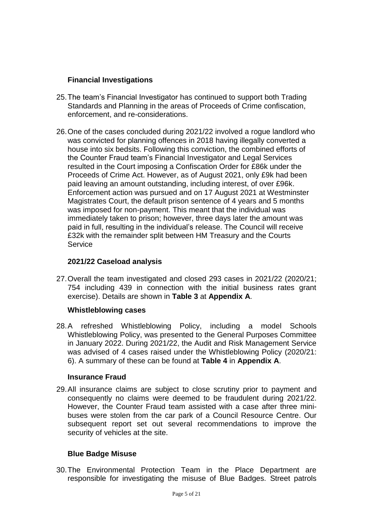### **Financial Investigations**

- 25.The team's Financial Investigator has continued to support both Trading Standards and Planning in the areas of Proceeds of Crime confiscation, enforcement, and re-considerations.
- 26.One of the cases concluded during 2021/22 involved a rogue landlord who was convicted for planning offences in 2018 having illegally converted a house into six bedsits. Following this conviction, the combined efforts of the Counter Fraud team's Financial Investigator and Legal Services resulted in the Court imposing a Confiscation Order for £86k under the Proceeds of Crime Act. However, as of August 2021, only £9k had been paid leaving an amount outstanding, including interest, of over £96k. Enforcement action was pursued and on 17 August 2021 at Westminster Magistrates Court, the default prison sentence of 4 years and 5 months was imposed for non-payment. This meant that the individual was immediately taken to prison; however, three days later the amount was paid in full, resulting in the individual's release. The Council will receive £32k with the remainder split between HM Treasury and the Courts Service

#### **2021/22 Caseload analysis**

27.Overall the team investigated and closed 293 cases in 2021/22 (2020/21; 754 including 439 in connection with the initial business rates grant exercise). Details are shown in **Table 3** at **Appendix A**.

#### **Whistleblowing cases**

28.A refreshed Whistleblowing Policy, including a model Schools Whistleblowing Policy, was presented to the General Purposes Committee in January 2022. During 2021/22, the Audit and Risk Management Service was advised of 4 cases raised under the Whistleblowing Policy (2020/21: 6). A summary of these can be found at **Table 4** in **Appendix A**.

#### **Insurance Fraud**

29.All insurance claims are subject to close scrutiny prior to payment and consequently no claims were deemed to be fraudulent during 2021/22. However, the Counter Fraud team assisted with a case after three minibuses were stolen from the car park of a Council Resource Centre. Our subsequent report set out several recommendations to improve the security of vehicles at the site.

#### **Blue Badge Misuse**

30.The Environmental Protection Team in the Place Department are responsible for investigating the misuse of Blue Badges. Street patrols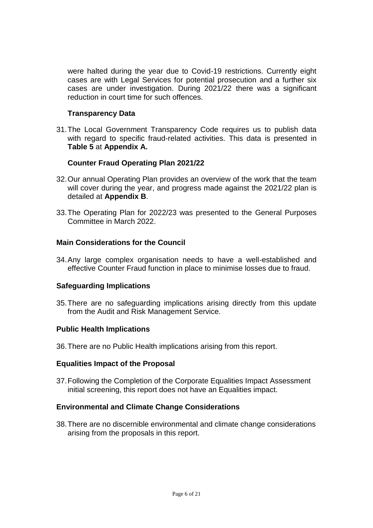were halted during the year due to Covid-19 restrictions. Currently eight cases are with Legal Services for potential prosecution and a further six cases are under investigation. During 2021/22 there was a significant reduction in court time for such offences.

#### **Transparency Data**

31.The Local Government Transparency Code requires us to publish data with regard to specific fraud-related activities. This data is presented in **Table 5** at **Appendix A.**

#### **Counter Fraud Operating Plan 2021/22**

- 32.Our annual Operating Plan provides an overview of the work that the team will cover during the year, and progress made against the 2021/22 plan is detailed at **Appendix B**.
- 33.The Operating Plan for 2022/23 was presented to the General Purposes Committee in March 2022.

#### **Main Considerations for the Council**

34.Any large complex organisation needs to have a well-established and effective Counter Fraud function in place to minimise losses due to fraud.

#### **Safeguarding Implications**

35.There are no safeguarding implications arising directly from this update from the Audit and Risk Management Service.

#### **Public Health Implications**

36.There are no Public Health implications arising from this report.

#### **Equalities Impact of the Proposal**

37.Following the Completion of the Corporate Equalities Impact Assessment initial screening, this report does not have an Equalities impact.

#### **Environmental and Climate Change Considerations**

38.There are no discernible environmental and climate change considerations arising from the proposals in this report.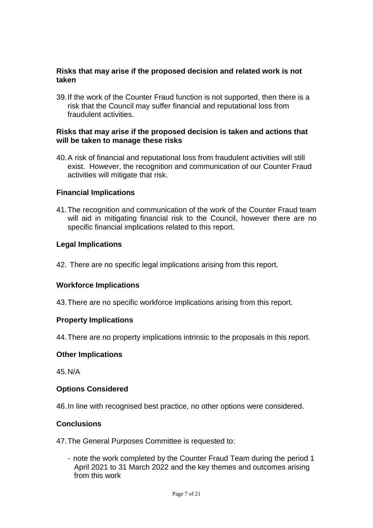#### **Risks that may arise if the proposed decision and related work is not taken**

39.If the work of the Counter Fraud function is not supported, then there is a risk that the Council may suffer financial and reputational loss from fraudulent activities.

#### **Risks that may arise if the proposed decision is taken and actions that will be taken to manage these risks**

40.A risk of financial and reputational loss from fraudulent activities will still exist. However, the recognition and communication of our Counter Fraud activities will mitigate that risk.

#### **Financial Implications**

41.The recognition and communication of the work of the Counter Fraud team will aid in mitigating financial risk to the Council, however there are no specific financial implications related to this report.

#### **Legal Implications**

42. There are no specific legal implications arising from this report.

#### **Workforce Implications**

43.There are no specific workforce implications arising from this report.

#### **Property Implications**

44.There are no property implications intrinsic to the proposals in this report.

#### **Other Implications**

45.N/A

#### **Options Considered**

46.In line with recognised best practice, no other options were considered.

#### **Conclusions**

47.The General Purposes Committee is requested to:

- note the work completed by the Counter Fraud Team during the period 1 April 2021 to 31 March 2022 and the key themes and outcomes arising from this work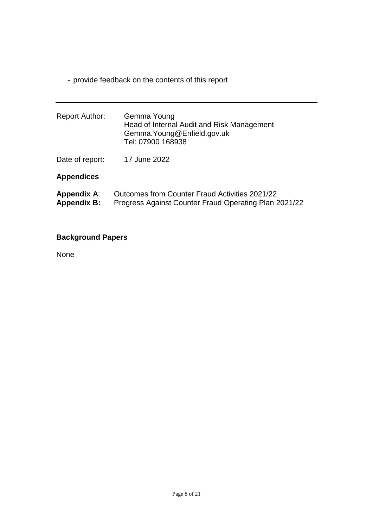- provide feedback on the contents of this report

| <b>Report Author:</b>                    | Gemma Young<br>Head of Internal Audit and Risk Management<br>Gemma. Young@Enfield.gov.uk<br>Tel: 07900 168938 |
|------------------------------------------|---------------------------------------------------------------------------------------------------------------|
| Date of report:                          | 17 June 2022                                                                                                  |
| <b>Appendices</b>                        |                                                                                                               |
| <b>Appendix A:</b><br><b>Appendix B:</b> | Outcomes from Counter Fraud Activities 2021/22<br>Progress Against Counter Fraud Operating Plan 2021/22       |

### **Background Papers**

None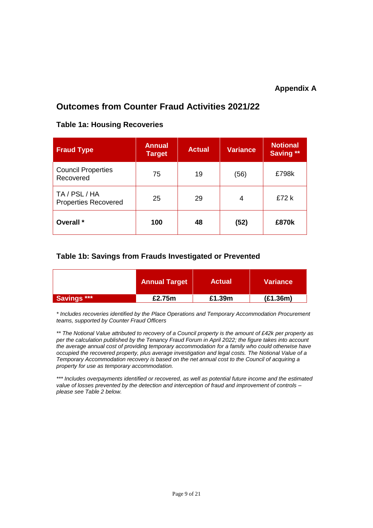#### **Appendix A**

### **Outcomes from Counter Fraud Activities 2021/22**

# **Fraud Type Annual Annual Target Actual Variance Notional Saving \*\*** Council Properties Council Triplemes (75 19 (56) E798k TA / PSL / HA Properties Recovered 25 29 4 E72 k **Overall \* 100 48 (52) £870k**

#### **Table 1a: Housing Recoveries**

#### **Table 1b: Savings from Frauds Investigated or Prevented**

|                    | <b>Annual Target</b> | <b>Actual</b> | <b>Variance</b> |
|--------------------|----------------------|---------------|-----------------|
| <b>Savings ***</b> | £2.75m               | £1.39m        | (E1.36m)        |

*\* Includes recoveries identified by the Place Operations and Temporary Accommodation Procurement teams, supported by Counter Fraud Officers*

*\*\* The Notional Value attributed to recovery of a Council property is the amount of £42k per property as per the calculation published by the Tenancy Fraud Forum in April 2022; the figure takes into account the average annual cost of providing temporary accommodation for a family who could otherwise have occupied the recovered property, plus average investigation and legal costs. The Notional Value of a Temporary Accommodation recovery is based on the net annual cost to the Council of acquiring a property for use as temporary accommodation.*

*\*\*\* Includes overpayments identified or recovered, as well as potential future income and the estimated value of losses prevented by the detection and interception of fraud and improvement of controls – please see Table 2 below.*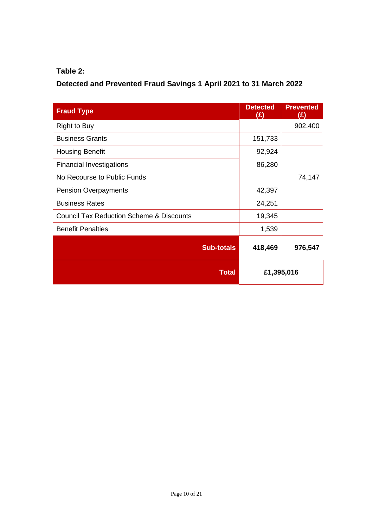### **Table 2:**

## **Detected and Prevented Fraud Savings 1 April 2021 to 31 March 2022**

| <b>Fraud Type</b>                                   | <b>Detected</b><br>(£) | <b>Prevented</b><br>(E) |
|-----------------------------------------------------|------------------------|-------------------------|
| <b>Right to Buy</b>                                 |                        | 902,400                 |
| <b>Business Grants</b>                              | 151,733                |                         |
| <b>Housing Benefit</b>                              | 92,924                 |                         |
| <b>Financial Investigations</b>                     | 86,280                 |                         |
| No Recourse to Public Funds                         |                        | 74,147                  |
| <b>Pension Overpayments</b>                         | 42,397                 |                         |
| <b>Business Rates</b>                               | 24,251                 |                         |
| <b>Council Tax Reduction Scheme &amp; Discounts</b> | 19,345                 |                         |
| <b>Benefit Penalties</b>                            | 1,539                  |                         |
| <b>Sub-totals</b>                                   | 418,469                | 976,547                 |
| <b>Total</b>                                        |                        | £1,395,016              |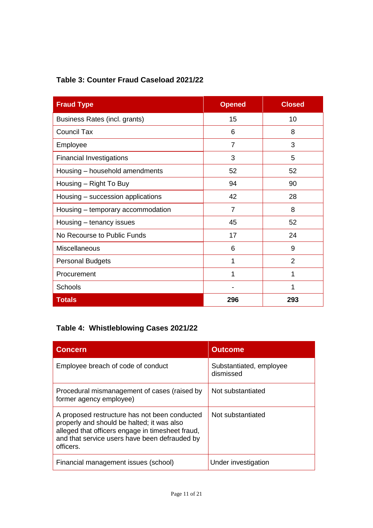| Table 3: Counter Fraud Caseload 2021/22 |  |  |  |  |  |
|-----------------------------------------|--|--|--|--|--|
|-----------------------------------------|--|--|--|--|--|

| <b>Fraud Type</b>                 | <b>Opened</b>  | <b>Closed</b>  |
|-----------------------------------|----------------|----------------|
| Business Rates (incl. grants)     | 15             | 10             |
| <b>Council Tax</b>                | 6              | 8              |
| Employee                          | $\overline{7}$ | 3              |
| <b>Financial Investigations</b>   | 3              | 5              |
| Housing - household amendments    | 52             | 52             |
| Housing - Right To Buy            | 94             | 90             |
| Housing – succession applications | 42             | 28             |
| Housing - temporary accommodation | $\overline{7}$ | 8              |
| Housing - tenancy issues          | 45             | 52             |
| No Recourse to Public Funds       | 17             | 24             |
| Miscellaneous                     | 6              | 9              |
| <b>Personal Budgets</b>           | 1              | $\overline{2}$ |
| Procurement                       | 1              | 1              |
| <b>Schools</b>                    |                | 1              |
| <b>Totals</b>                     | 296            | 293            |

## **Table 4: Whistleblowing Cases 2021/22**

| <b>Concern</b>                                                                                                                                                                                                | <b>Outcome</b>                       |
|---------------------------------------------------------------------------------------------------------------------------------------------------------------------------------------------------------------|--------------------------------------|
| Employee breach of code of conduct                                                                                                                                                                            | Substantiated, employee<br>dismissed |
| Procedural mismanagement of cases (raised by<br>former agency employee)                                                                                                                                       | Not substantiated                    |
| A proposed restructure has not been conducted<br>properly and should be halted; it was also<br>alleged that officers engage in timesheet fraud,<br>and that service users have been defrauded by<br>officers. | Not substantiated                    |
| Financial management issues (school)                                                                                                                                                                          | Under investigation                  |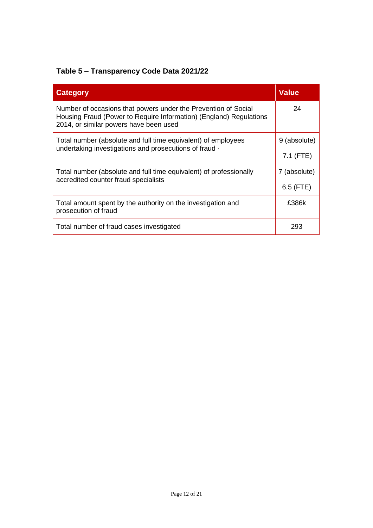## **Table 5 – Transparency Code Data 2021/22**

| <b>Category</b>                                                                                                                                                                | <b>Value</b> |
|--------------------------------------------------------------------------------------------------------------------------------------------------------------------------------|--------------|
| Number of occasions that powers under the Prevention of Social<br>Housing Fraud (Power to Require Information) (England) Regulations<br>2014, or similar powers have been used | 24           |
| Total number (absolute and full time equivalent) of employees<br>undertaking investigations and prosecutions of fraud ·                                                        | 9 (absolute) |
|                                                                                                                                                                                | $7.1$ (FTE)  |
| Total number (absolute and full time equivalent) of professionally<br>accredited counter fraud specialists                                                                     | 7 (absolute) |
|                                                                                                                                                                                | $6.5$ (FTE)  |
| Total amount spent by the authority on the investigation and<br>prosecution of fraud                                                                                           | £386k        |
| Total number of fraud cases investigated                                                                                                                                       | 293          |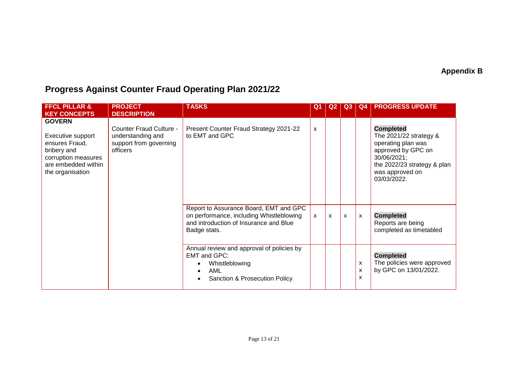## **Appendix B**

# **Progress Against Counter Fraud Operating Plan 2021/22**

| <b>FFCL PILLAR &amp;</b><br><b>KEY CONCEPTS</b>                                                                                       | <b>PROJECT</b><br><b>DESCRIPTION</b>                                               | <b>TASKS</b>                                                                                                                                 | Q <sub>1</sub> | Q2 | Q <sub>3</sub> | Q4                                  | <b>PROGRESS UPDATE</b>                                                                                                                                                     |
|---------------------------------------------------------------------------------------------------------------------------------------|------------------------------------------------------------------------------------|----------------------------------------------------------------------------------------------------------------------------------------------|----------------|----|----------------|-------------------------------------|----------------------------------------------------------------------------------------------------------------------------------------------------------------------------|
| <b>GOVERN</b><br>Executive support<br>ensures Fraud,<br>bribery and<br>corruption measures<br>are embedded within<br>the organisation | Counter Fraud Culture -<br>understanding and<br>support from governing<br>officers | Present Counter Fraud Strategy 2021-22<br>to EMT and GPC                                                                                     | X              |    |                |                                     | <b>Completed</b><br>The $2021/22$ strategy $&$<br>operating plan was<br>approved by GPC on<br>30/06/2021;<br>the 2022/23 strategy & plan<br>was approved on<br>03/03/2022. |
|                                                                                                                                       |                                                                                    | Report to Assurance Board, EMT and GPC<br>on performance, including Whistleblowing<br>and introduction of Insurance and Blue<br>Badge stats. | X              | X  | $\mathsf{x}$   | $\mathsf{x}$                        | <b>Completed</b><br>Reports are being<br>completed as timetabled                                                                                                           |
|                                                                                                                                       |                                                                                    | Annual review and approval of policies by<br>EMT and GPC:<br>Whistleblowing<br>AML<br>Sanction & Prosecution Policy                          |                |    |                | $\boldsymbol{\mathsf{x}}$<br>X<br>X | <b>Completed</b><br>The policies were approved<br>by GPC on 13/01/2022.                                                                                                    |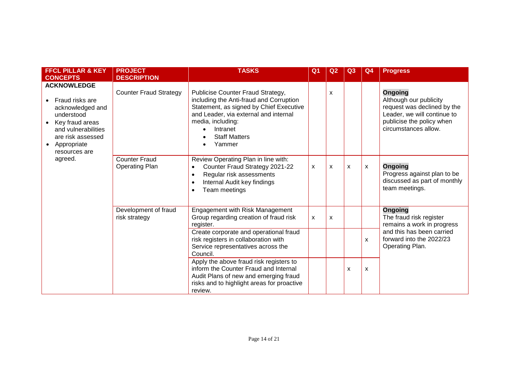| <b>FFCL PILLAR &amp; KEY</b>                                                                                                                                                                                                       | <b>PROJECT</b>                        | <b>TASKS</b>                                                                                                                                                                                                                                                                                                | Q <sub>1</sub> | Q <sub>2</sub>            | Q3           | Q <sub>4</sub>               | <b>Progress</b>                                                                                                                                      |
|------------------------------------------------------------------------------------------------------------------------------------------------------------------------------------------------------------------------------------|---------------------------------------|-------------------------------------------------------------------------------------------------------------------------------------------------------------------------------------------------------------------------------------------------------------------------------------------------------------|----------------|---------------------------|--------------|------------------------------|------------------------------------------------------------------------------------------------------------------------------------------------------|
| <b>CONCEPTS</b>                                                                                                                                                                                                                    | <b>DESCRIPTION</b>                    |                                                                                                                                                                                                                                                                                                             |                |                           |              |                              |                                                                                                                                                      |
| <b>ACKNOWLEDGE</b><br>Fraud risks are<br>acknowledged and<br>understood<br>Key fraud areas<br>and vulnerabilities<br>are risk assessed<br>Appropriate<br>resources are<br><b>Counter Fraud</b><br>agreed.<br><b>Operating Plan</b> | <b>Counter Fraud Strategy</b>         | Publicise Counter Fraud Strategy,<br>including the Anti-fraud and Corruption<br>Statement, as signed by Chief Executive<br>and Leader, via external and internal<br>media, including:<br>Intranet<br><b>Staff Matters</b><br>Yammer                                                                         |                | X                         |              |                              | Ongoing<br>Although our publicity<br>request was declined by the<br>Leader, we will continue to<br>publicise the policy when<br>circumstances allow. |
|                                                                                                                                                                                                                                    |                                       | Review Operating Plan in line with:<br>Counter Fraud Strategy 2021-22<br>$\bullet$<br>Regular risk assessments<br>$\bullet$<br>Internal Audit key findings<br>$\bullet$<br>Team meetings<br>$\bullet$                                                                                                       | X              | X                         | $\mathsf{x}$ | $\mathsf{x}$                 | <b>Ongoing</b><br>Progress against plan to be<br>discussed as part of monthly<br>team meetings.                                                      |
|                                                                                                                                                                                                                                    | Development of fraud<br>risk strategy | Engagement with Risk Management<br>Group regarding creation of fraud risk<br>register.                                                                                                                                                                                                                      | X              | $\boldsymbol{\mathsf{x}}$ |              |                              | <b>Ongoing</b><br>The fraud risk register<br>remains a work in progress                                                                              |
|                                                                                                                                                                                                                                    |                                       | Create corporate and operational fraud<br>risk registers in collaboration with<br>Service representatives across the<br>Council.<br>Apply the above fraud risk registers to<br>inform the Counter Fraud and Internal<br>Audit Plans of new and emerging fraud<br>risks and to highlight areas for proactive |                |                           | X            | $\mathsf{x}$<br>$\mathsf{x}$ | and this has been carried<br>forward into the 2022/23<br>Operating Plan.                                                                             |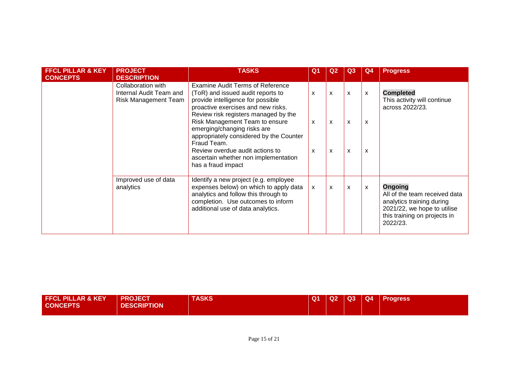| <b>FFCL PILLAR &amp; KEY</b><br><b>CONCEPTS</b> | <b>PROJECT</b><br><b>DESCRIPTION</b>                                  | <b>TASKS</b>                                                                                                                                                                                                                                                                                                                                           | Q <sub>1</sub>                                                                      | Q <sub>2</sub>         | Q3                                           | Q <sub>4</sub>         | <b>Progress</b>                                                                                                                                  |
|-------------------------------------------------|-----------------------------------------------------------------------|--------------------------------------------------------------------------------------------------------------------------------------------------------------------------------------------------------------------------------------------------------------------------------------------------------------------------------------------------------|-------------------------------------------------------------------------------------|------------------------|----------------------------------------------|------------------------|--------------------------------------------------------------------------------------------------------------------------------------------------|
|                                                 | Collaboration with<br>Internal Audit Team and<br>Risk Management Team | Examine Audit Terms of Reference<br>(ToR) and issued audit reports to<br>provide intelligence for possible<br>proactive exercises and new risks.<br>Review risk registers managed by the<br>Risk Management Team to ensure<br>emerging/changing risks are<br>appropriately considered by the Counter<br>Fraud Team.<br>Review overdue audit actions to | $\boldsymbol{\mathsf{x}}$<br>$\boldsymbol{\mathsf{x}}$<br>$\boldsymbol{\mathsf{x}}$ | X<br>$\mathsf{x}$<br>X | $\mathsf{x}$<br>$\mathsf{x}$<br>$\mathsf{x}$ | X<br>$\mathsf{x}$<br>X | <b>Completed</b><br>This activity will continue<br>across 2022/23.                                                                               |
|                                                 | Improved use of data<br>analytics                                     | ascertain whether non implementation<br>has a fraud impact<br>Identify a new project (e.g. employee<br>expenses below) on which to apply data<br>analytics and follow this through to<br>completion. Use outcomes to inform<br>additional use of data analytics.                                                                                       | $\boldsymbol{\mathsf{X}}$                                                           | $\mathsf{x}$           | $\mathsf{x}$                                 | X                      | Ongoing<br>All of the team received data<br>analytics training during<br>2021/22, we hope to utilise<br>this training on projects in<br>2022/23. |

| <b>FFCL PILLAR &amp; KEY</b> | <b>PROJECT</b>     | TASKS | Q <sub>1</sub> | Q2 | $\overline{Q}$ | Q4 Progress |
|------------------------------|--------------------|-------|----------------|----|----------------|-------------|
| <b>CONCEPTS</b>              | <b>DESCRIPTION</b> |       |                |    |                |             |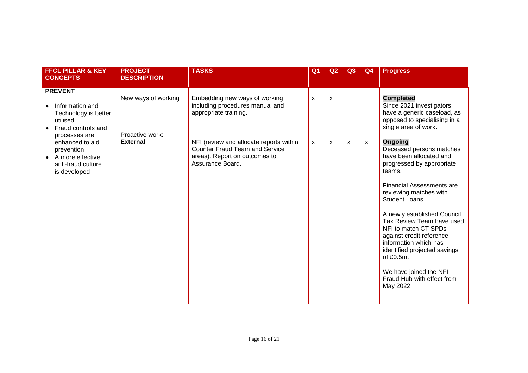| <b>FFCL PILLAR &amp; KEY</b><br><b>CONCEPTS</b>                                                          | <b>PROJECT</b><br><b>DESCRIPTION</b> | <b>TASKS</b>                                                                                                                          | Q <sub>1</sub>            | Q <sub>2</sub> | Q3           | Q <sub>4</sub> | <b>Progress</b>                                                                                                                                                                                                                                                                                                                                                                                                                                            |
|----------------------------------------------------------------------------------------------------------|--------------------------------------|---------------------------------------------------------------------------------------------------------------------------------------|---------------------------|----------------|--------------|----------------|------------------------------------------------------------------------------------------------------------------------------------------------------------------------------------------------------------------------------------------------------------------------------------------------------------------------------------------------------------------------------------------------------------------------------------------------------------|
| <b>PREVENT</b><br>Information and<br>Technology is better<br>utilised<br>Fraud controls and              | New ways of working                  | Embedding new ways of working<br>including procedures manual and<br>appropriate training.                                             | $\boldsymbol{\mathsf{x}}$ | $\mathsf{x}$   |              |                | <b>Completed</b><br>Since 2021 investigators<br>have a generic caseload, as<br>opposed to specialising in a<br>single area of work.                                                                                                                                                                                                                                                                                                                        |
| processes are<br>enhanced to aid<br>prevention<br>A more effective<br>anti-fraud culture<br>is developed | Proactive work:<br><b>External</b>   | NFI (review and allocate reports within<br><b>Counter Fraud Team and Service</b><br>areas). Report on outcomes to<br>Assurance Board. | $\mathsf{x}$              | X              | $\mathsf{x}$ | X              | <b>Ongoing</b><br>Deceased persons matches<br>have been allocated and<br>progressed by appropriate<br>teams.<br><b>Financial Assessments are</b><br>reviewing matches with<br>Student Loans.<br>A newly established Council<br>Tax Review Team have used<br>NFI to match CT SPDs<br>against credit reference<br>information which has<br>identified projected savings<br>of $£0.5m$ .<br>We have joined the NFI<br>Fraud Hub with effect from<br>May 2022. |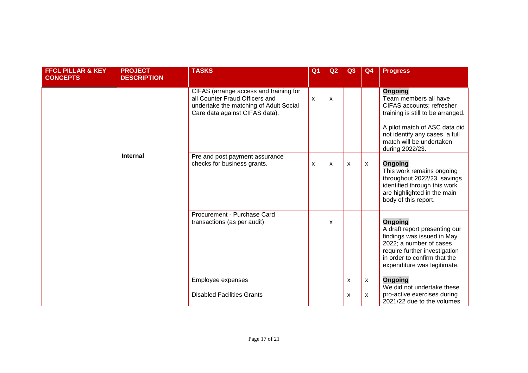| <b>FFCL PILLAR &amp; KEY</b><br><b>CONCEPTS</b> | <b>PROJECT</b><br><b>DESCRIPTION</b> | <b>TASKS</b>                                                                                                                                         | Q <sub>1</sub> | Q <sub>2</sub> | Q3           | Q <sub>4</sub>            | <b>Progress</b>                                                                                                                                                                                                             |
|-------------------------------------------------|--------------------------------------|------------------------------------------------------------------------------------------------------------------------------------------------------|----------------|----------------|--------------|---------------------------|-----------------------------------------------------------------------------------------------------------------------------------------------------------------------------------------------------------------------------|
|                                                 |                                      | CIFAS (arrange access and training for<br>all Counter Fraud Officers and<br>undertake the matching of Adult Social<br>Care data against CIFAS data). | $\mathsf{x}$   | X              |              |                           | <b>Ongoing</b><br>Team members all have<br>CIFAS accounts; refresher<br>training is still to be arranged.<br>A pilot match of ASC data did<br>not identify any cases, a full<br>match will be undertaken<br>during 2022/23. |
|                                                 | <b>Internal</b>                      | Pre and post payment assurance<br>checks for business grants.                                                                                        | X              | X              | X            | $\mathsf{x}$              | <b>Ongoing</b><br>This work remains ongoing<br>throughout 2022/23, savings<br>identified through this work<br>are highlighted in the main<br>body of this report.                                                           |
|                                                 |                                      | Procurement - Purchase Card<br>transactions (as per audit)                                                                                           |                | X              |              |                           | <b>Ongoing</b><br>A draft report presenting our<br>findings was issued in May<br>2022; a number of cases<br>require further investigation<br>in order to confirm that the<br>expenditure was legitimate.                    |
|                                                 |                                      | Employee expenses                                                                                                                                    |                |                | $\mathsf{x}$ | $\boldsymbol{\mathsf{X}}$ | <b>Ongoing</b><br>We did not undertake these                                                                                                                                                                                |
|                                                 |                                      | <b>Disabled Facilities Grants</b>                                                                                                                    |                |                | $\mathsf{x}$ | $\mathsf{x}$              | pro-active exercises during<br>2021/22 due to the volumes                                                                                                                                                                   |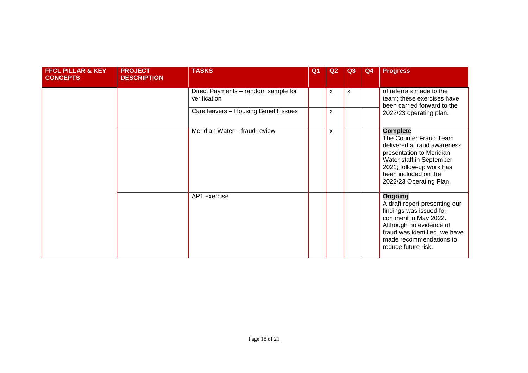| <b>FFCL PILLAR &amp; KEY</b><br><b>CONCEPTS</b> | <b>PROJECT</b><br><b>DESCRIPTION</b> | <b>TASKS</b>                                        | Q <sub>1</sub> | Q2           | Q3           | Q4 | <b>Progress</b>                                                                                                                                                                                                  |
|-------------------------------------------------|--------------------------------------|-----------------------------------------------------|----------------|--------------|--------------|----|------------------------------------------------------------------------------------------------------------------------------------------------------------------------------------------------------------------|
|                                                 |                                      | Direct Payments - random sample for<br>verification |                | $\mathsf{x}$ | $\mathsf{x}$ |    | of referrals made to the<br>team; these exercises have<br>been carried forward to the                                                                                                                            |
|                                                 |                                      | Care leavers - Housing Benefit issues               |                | X            |              |    | 2022/23 operating plan.                                                                                                                                                                                          |
|                                                 |                                      | Meridian Water - fraud review                       |                | X            |              |    | <b>Complete</b><br>The Counter Fraud Team<br>delivered a fraud awareness<br>presentation to Meridian<br>Water staff in September<br>2021; follow-up work has<br>been included on the<br>2022/23 Operating Plan.  |
|                                                 |                                      | AP1 exercise                                        |                |              |              |    | <b>Ongoing</b><br>A draft report presenting our<br>findings was issued for<br>comment in May 2022.<br>Although no evidence of<br>fraud was identified, we have<br>made recommendations to<br>reduce future risk. |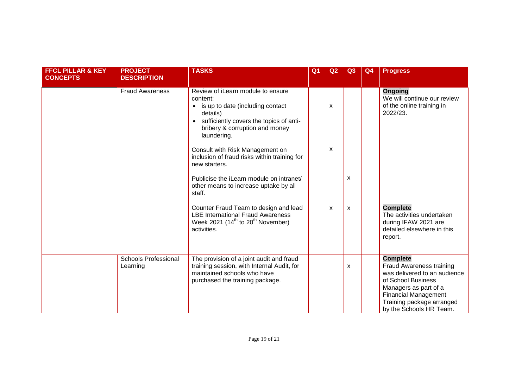| <b>FFCL PILLAR &amp; KEY</b><br><b>CONCEPTS</b> | <b>PROJECT</b><br><b>DESCRIPTION</b>    | <b>TASKS</b>                                                                                                                                                                              | Q <sub>1</sub> | Q <sub>2</sub> | Q3           | Q <sub>4</sub> | <b>Progress</b>                                                                                                                                                                                                          |
|-------------------------------------------------|-----------------------------------------|-------------------------------------------------------------------------------------------------------------------------------------------------------------------------------------------|----------------|----------------|--------------|----------------|--------------------------------------------------------------------------------------------------------------------------------------------------------------------------------------------------------------------------|
|                                                 | <b>Fraud Awareness</b>                  | Review of iLearn module to ensure<br>content:<br>is up to date (including contact<br>details)<br>sufficiently covers the topics of anti-<br>bribery & corruption and money<br>laundering. |                | X              |              |                | <b>Ongoing</b><br>We will continue our review<br>of the online training in<br>2022/23.                                                                                                                                   |
|                                                 |                                         | Consult with Risk Management on<br>inclusion of fraud risks within training for<br>new starters.                                                                                          |                | X              |              |                |                                                                                                                                                                                                                          |
|                                                 |                                         | Publicise the iLearn module on intranet/<br>other means to increase uptake by all<br>staff.                                                                                               |                |                | X            |                |                                                                                                                                                                                                                          |
|                                                 |                                         | Counter Fraud Team to design and lead<br><b>LBE International Fraud Awareness</b><br>Week 2021 (14 <sup>th</sup> to 20 <sup>th</sup> November)<br>activities.                             |                | X              | $\mathsf{x}$ |                | <b>Complete</b><br>The activities undertaken<br>during IFAW 2021 are<br>detailed elsewhere in this<br>report.                                                                                                            |
|                                                 | <b>Schools Professional</b><br>Learning | The provision of a joint audit and fraud<br>training session, with Internal Audit, for<br>maintained schools who have<br>purchased the training package.                                  |                |                | X            |                | <b>Complete</b><br><b>Fraud Awareness training</b><br>was delivered to an audience<br>of School Business<br>Managers as part of a<br><b>Financial Management</b><br>Training package arranged<br>by the Schools HR Team. |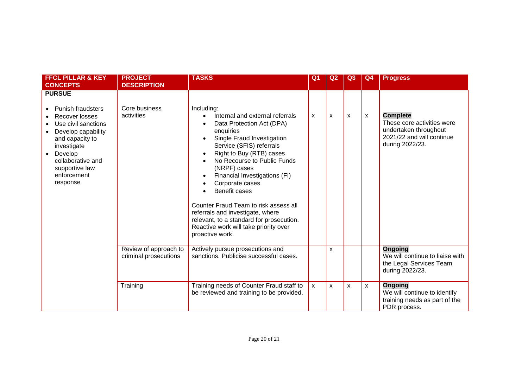| <b>FFCL PILLAR &amp; KEY</b><br><b>CONCEPTS</b>                                                                                                                                                                         | <b>PROJECT</b><br><b>DESCRIPTION</b>           | <b>TASKS</b>                                                                                                                                                                                                                                                                                                                                                                                                                                                                                                     | Q <sub>1</sub> | Q <sub>2</sub> | Q <sub>3</sub>            | Q4           | <b>Progress</b>                                                                                                        |
|-------------------------------------------------------------------------------------------------------------------------------------------------------------------------------------------------------------------------|------------------------------------------------|------------------------------------------------------------------------------------------------------------------------------------------------------------------------------------------------------------------------------------------------------------------------------------------------------------------------------------------------------------------------------------------------------------------------------------------------------------------------------------------------------------------|----------------|----------------|---------------------------|--------------|------------------------------------------------------------------------------------------------------------------------|
| <b>PURSUE</b><br><b>Punish fraudsters</b><br>Recover losses<br>Use civil sanctions<br>Develop capability<br>and capacity to<br>investigate<br>Develop<br>collaborative and<br>supportive law<br>enforcement<br>response | Core business<br>activities                    | Including:<br>Internal and external referrals<br>$\bullet$<br>Data Protection Act (DPA)<br>enquiries<br>Single Fraud Investigation<br>Service (SFIS) referrals<br>Right to Buy (RTB) cases<br>No Recourse to Public Funds<br>(NRPF) cases<br>Financial Investigations (FI)<br>$\bullet$<br>Corporate cases<br>Benefit cases<br>Counter Fraud Team to risk assess all<br>referrals and investigate, where<br>relevant, to a standard for prosecution.<br>Reactive work will take priority over<br>proactive work. | X              | X              | $\boldsymbol{\mathsf{x}}$ | X            | <b>Complete</b><br>These core activities were<br>undertaken throughout<br>2021/22 and will continue<br>during 2022/23. |
|                                                                                                                                                                                                                         | Review of approach to<br>criminal prosecutions | Actively pursue prosecutions and<br>sanctions. Publicise successful cases.                                                                                                                                                                                                                                                                                                                                                                                                                                       |                | X              |                           |              | Ongoing<br>We will continue to liaise with<br>the Legal Services Team<br>during 2022/23.                               |
|                                                                                                                                                                                                                         | Training                                       | Training needs of Counter Fraud staff to<br>be reviewed and training to be provided.                                                                                                                                                                                                                                                                                                                                                                                                                             | $\mathsf{x}$   | X              | $\mathsf{x}$              | $\mathsf{x}$ | Ongoing<br>We will continue to identify<br>training needs as part of the<br>PDR process.                               |